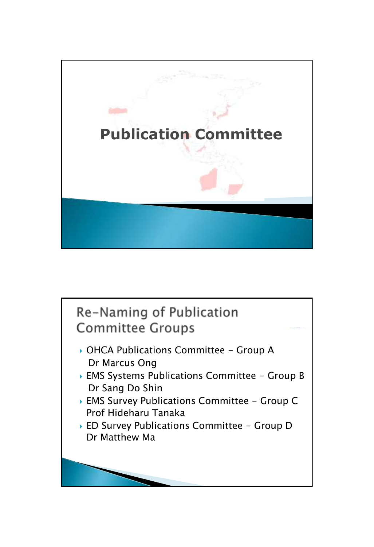

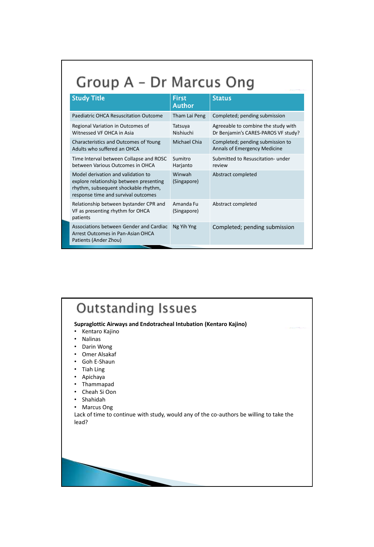### Group A - Dr Marcus Ong

| <b>Study Title</b>                                                                                                                                           | <b>First</b><br>Author   | <b>Status</b>                                                              |
|--------------------------------------------------------------------------------------------------------------------------------------------------------------|--------------------------|----------------------------------------------------------------------------|
| Paediatric OHCA Resuscitation Outcome                                                                                                                        | Tham Lai Peng            | Completed; pending submission                                              |
| Regional Variation in Outcomes of<br>Witnessed VF OHCA in Asia                                                                                               | Tatsuya<br>Nishiuchi     | Agreeable to combine the study with<br>Dr Benjamin's CARES-PAROS VF study? |
| Characteristics and Outcomes of Young<br>Adults who suffered an OHCA                                                                                         | <b>Michael Chia</b>      | Completed; pending submission to<br><b>Annals of Emergency Medicine</b>    |
| Time Interval between Collapse and ROSC<br>between Various Outcomes in OHCA                                                                                  | Sumitro<br>Harjanto      | Submitted to Resuscitation- under<br>review                                |
| Model derivation and validation to<br>explore relationship between presenting<br>rhythm, subsequent shockable rhythm,<br>response time and survival outcomes | Winwah<br>(Singapore)    | Abstract completed                                                         |
| Relationship between bystander CPR and<br>VF as presenting rhythm for OHCA<br>patients                                                                       | Amanda Fu<br>(Singapore) | Abstract completed                                                         |
| Associations between Gender and Cardiac<br>Arrest Outcomes in Pan-Asian OHCA<br>Patients (Ander Zhou)                                                        | Ng Yih Yng               | Completed; pending submission                                              |

### **Outstanding Issues**

#### **Supraglottic Airways and Endotracheal Intubation (Kentaro Kajino)**

- Kentaro Kajino
- Nalinas
- 
- Darin Wong<br>• Omer Alsaka • Omer Alsakaf
- Goh E-Shaun
- Tiah Ling
- Apichaya
- Thammapad
- Cheah Si Oon
- Shahidah
- Marcus Ong

Lack of time to continue with study, would any of the co-authors be willing to take the lead?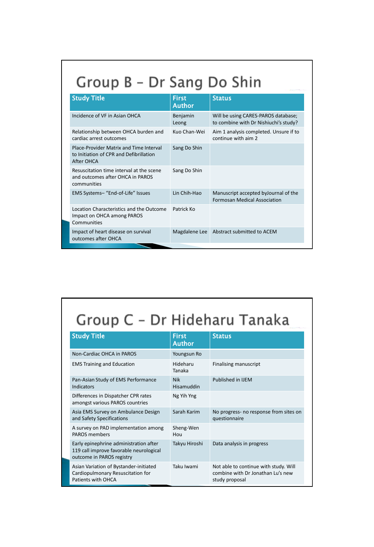## Group B - Dr Sang Do Shin

| <b>Study Title</b>                                                                               | <b>First</b><br><b>Author</b> | <b>Status</b>                                                                |
|--------------------------------------------------------------------------------------------------|-------------------------------|------------------------------------------------------------------------------|
| Incidence of VF in Asian OHCA                                                                    | Benjamin<br>Leong             | Will be using CARES-PAROS database;<br>to combine with Dr Nishiuchi's study? |
| Relationship between OHCA burden and<br>cardiac arrest outcomes                                  | Kuo Chan-Wei                  | Aim 1 analysis completed. Unsure if to<br>continue with aim 2                |
| Place-Provider Matrix and Time Interval<br>to Initiation of CPR and Defibrillation<br>After OHCA | Sang Do Shin                  |                                                                              |
| Resuscitation time interval at the scene<br>and outcomes after OHCA in PAROS<br>communities      | Sang Do Shin                  |                                                                              |
| EMS Systems- "End-of-Life" Issues                                                                | Lin Chih-Hao                  | Manuscript accepted by Journal of the<br><b>Formosan Medical Association</b> |
| Location Characteristics and the Outcome<br>Impact on OHCA among PAROS<br>Communities            | Patrick Ko                    |                                                                              |
| Impact of heart disease on survival<br>outcomes after OHCA                                       | Magdalene Lee                 | Abstract submitted to ACEM                                                   |

# Group C - Dr Hideharu Tanaka

| <b>Study Title</b>                                                                                             | <b>First</b><br><b>Author</b> | <b>Status</b>                                                                                |
|----------------------------------------------------------------------------------------------------------------|-------------------------------|----------------------------------------------------------------------------------------------|
| Non-Cardiac OHCA in PAROS                                                                                      | Youngsun Ro                   |                                                                                              |
| <b>EMS Training and Education</b>                                                                              | Hideharu<br>Tanaka            | Finalising manuscript                                                                        |
| Pan-Asian Study of EMS Performance<br><b>Indicators</b>                                                        | <b>Nik</b><br>Hisamuddin      | Published in IJEM                                                                            |
| Differences in Dispatcher CPR rates<br>amongst various PAROS countries                                         | Ng Yih Yng                    |                                                                                              |
| Asia EMS Survey on Ambulance Design<br>and Safety Specifications                                               | Sarah Karim                   | No progress- no response from sites on<br>questionnaire                                      |
| A survey on PAD implementation among<br><b>PAROS members</b>                                                   | Sheng-Wen<br>Hou              |                                                                                              |
| Early epinephrine administration after<br>119 call improve favorable neurological<br>outcome in PAROS registry | Takyu Hiroshi                 | Data analysis in progress                                                                    |
| Asian Variation of Bystander-initiated<br>Cardiopulmonary Resuscitation for<br>Patients with OHCA              | Taku Iwami                    | Not able to continue with study. Will<br>combine with Dr Jonathan Lu's new<br>study proposal |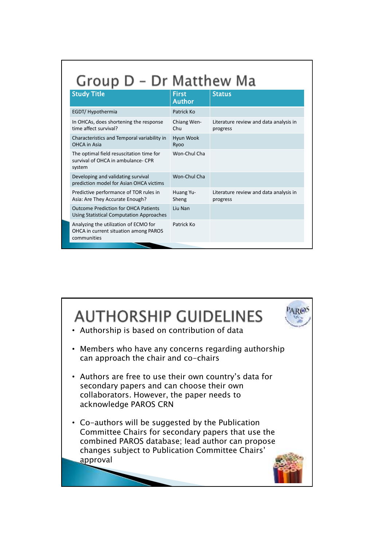| Group D - Dr Matthew Ma                                                                        |                        |                                                    |  |  |
|------------------------------------------------------------------------------------------------|------------------------|----------------------------------------------------|--|--|
| <b>Study Title</b>                                                                             | <b>First</b><br>Author | <b>Status</b>                                      |  |  |
| EGDT/ Hypothermia                                                                              | Patrick Ko             |                                                    |  |  |
| In OHCAs, does shortening the response<br>time affect survival?                                | Chiang Wen-<br>Chu     | Literature review and data analysis in<br>progress |  |  |
| Characteristics and Temporal variability in<br><b>OHCA</b> in Asia                             | Hyun Wook<br>Ryoo      |                                                    |  |  |
| The optimal field resuscitation time for<br>survival of OHCA in ambulance- CPR<br>system       | Won-Chul Cha           |                                                    |  |  |
| Developing and validating survival<br>prediction model for Asian OHCA victims                  | Won-Chul Cha           |                                                    |  |  |
| Predictive performance of TOR rules in<br>Asia: Are They Accurate Enough?                      | Huang Yu-<br>Sheng     | Literature review and data analysis in<br>progress |  |  |
| <b>Outcome Prediction for OHCA Patients</b><br><b>Using Statistical Computation Approaches</b> | Liu Nan                |                                                    |  |  |
| Analyzing the utilization of ECMO for<br>OHCA in current situation among PAROS<br>communities  | Patrick Ko             |                                                    |  |  |
|                                                                                                |                        |                                                    |  |  |